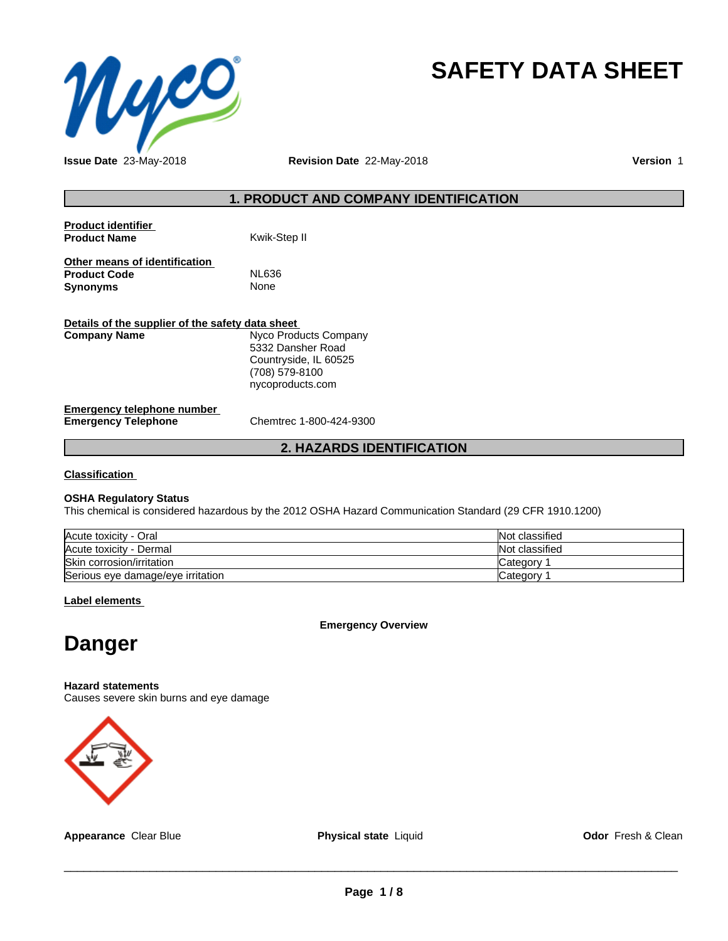

# **SAFETY DATA SHEET**

**Issue Date** 23-May-2018 **Revision Date** 22-May-2018 **Version** 1

### **1. PRODUCT AND COMPANY IDENTIFICATION**

| <b>Product identifier</b><br><b>Product Name</b>                        | Kwik-Step II                                                                                              |
|-------------------------------------------------------------------------|-----------------------------------------------------------------------------------------------------------|
| Other means of identification<br><b>Product Code</b><br><b>Synonyms</b> | NL636<br>None                                                                                             |
| Details of the supplier of the safety data sheet<br><b>Company Name</b> | Nyco Products Company<br>5332 Dansher Road<br>Countryside, IL 60525<br>(708) 579-8100<br>nycoproducts.com |
| <b>Emergency telephone number</b>                                       |                                                                                                           |

**Emergency Telephone** Chemtrec 1-800-424-9300

### **2. HAZARDS IDENTIFICATION**

**Classification**

### **OSHA Regulatory Status**

This chemical is considered hazardous by the 2012 OSHA Hazard Communication Standard (29 CFR 1910.1200)

| Acute toxicity - Oral             | Not classified |
|-----------------------------------|----------------|
| Acute toxicity - Dermal           | Not classified |
| Skin corrosion/irritation         | Category       |
| Serious eye damage/eye irritation | Category       |

**Label elements**

**Emergency Overview**

# **Danger**

**Hazard statements**

Causes severe skin burns and eye damage



**Appearance** Clear Blue **Physical state** Liquid **Odor** Fresh & Clean

 $\overline{\phantom{a}}$  ,  $\overline{\phantom{a}}$  ,  $\overline{\phantom{a}}$  ,  $\overline{\phantom{a}}$  ,  $\overline{\phantom{a}}$  ,  $\overline{\phantom{a}}$  ,  $\overline{\phantom{a}}$  ,  $\overline{\phantom{a}}$  ,  $\overline{\phantom{a}}$  ,  $\overline{\phantom{a}}$  ,  $\overline{\phantom{a}}$  ,  $\overline{\phantom{a}}$  ,  $\overline{\phantom{a}}$  ,  $\overline{\phantom{a}}$  ,  $\overline{\phantom{a}}$  ,  $\overline{\phantom{a}}$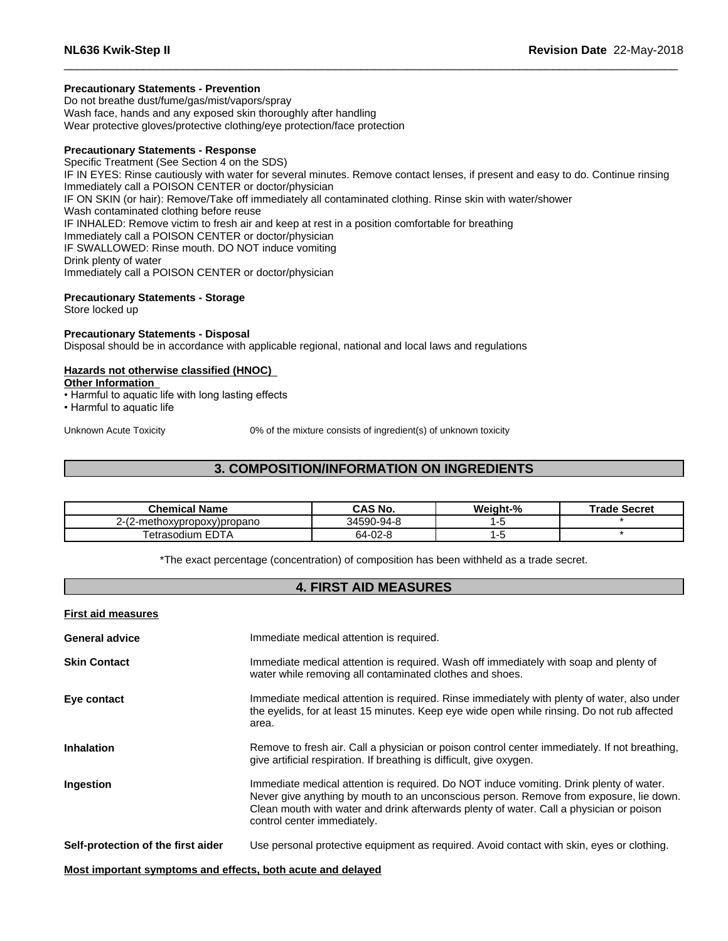### **Precautionary Statements - Prevention**

Do not breathe dust/fume/gas/mist/vapors/spray Wash face, hands and any exposed skin thoroughly after handling Wear protective gloves/protective clothing/eye protection/face protection

### **Precautionary Statements - Response**

Specific Treatment (See Section 4 on the SDS) IF IN EYES: Rinse cautiously with water for several minutes. Remove contact lenses, if present and easy to do. Continue rinsing Immediately call a POISON CENTER or doctor/physician IF ON SKIN (or hair): Remove/Take off immediately all contaminated clothing. Rinse skin with water/shower Wash contaminated clothing before reuse IF INHALED: Remove victim to fresh air and keep at rest in a position comfortable for breathing Immediately call a POISON CENTER or doctor/physician IF SWALLOWED: Rinse mouth. DO NOT induce vomiting Drink plenty of water Immediately call a POISON CENTER or doctor/physician

### **Precautionary Statements - Storage**

Store locked up

### **Precautionary Statements - Disposal**

Disposal should be in accordance with applicable regional, national and local laws and regulations

### **Hazards not otherwise classified (HNOC)**

**Other Information**

- Harmful to aquatic life with long lasting effects
- Harmful to aquatic life

Unknown Acute Toxicity 0% of the mixture consists of ingredient(s) of unknown toxicity

### **3. COMPOSITION/INFORMATION ON INGREDIENTS**

| <b>Chemical Name</b>                              | <b>CAS No.</b> | Weight-% | Trade Secret |
|---------------------------------------------------|----------------|----------|--------------|
| <b>COM</b><br>-methoxypropoxy)propano<br>2-l<br>, | 34590-94-8     |          |              |
| $- - -$<br>etrasodium<br>EDIA                     | ററ o<br>-->ن   |          |              |

\*The exact percentage (concentration) of composition has been withheld as a trade secret.

### **4. FIRST AID MEASURES**

| <b>First aid measures</b> |  |
|---------------------------|--|
|                           |  |

| <b>General advice</b>                                       | Immediate medical attention is required.                                                                                                                                                                                                                                                                    |
|-------------------------------------------------------------|-------------------------------------------------------------------------------------------------------------------------------------------------------------------------------------------------------------------------------------------------------------------------------------------------------------|
| <b>Skin Contact</b>                                         | Immediate medical attention is required. Wash off immediately with soap and plenty of<br>water while removing all contaminated clothes and shoes.                                                                                                                                                           |
| Eye contact                                                 | Immediate medical attention is required. Rinse immediately with plenty of water, also under<br>the eyelids, for at least 15 minutes. Keep eye wide open while rinsing. Do not rub affected<br>area.                                                                                                         |
| <b>Inhalation</b>                                           | Remove to fresh air. Call a physician or poison control center immediately. If not breathing,<br>give artificial respiration. If breathing is difficult, give oxygen.                                                                                                                                       |
| Ingestion                                                   | Immediate medical attention is required. Do NOT induce vomiting. Drink plenty of water.<br>Never give anything by mouth to an unconscious person. Remove from exposure, lie down.<br>Clean mouth with water and drink afterwards plenty of water. Call a physician or poison<br>control center immediately. |
| Self-protection of the first aider                          | Use personal protective equipment as required. Avoid contact with skin, eyes or clothing.                                                                                                                                                                                                                   |
| Most important symptoms and effects, both acute and delayed |                                                                                                                                                                                                                                                                                                             |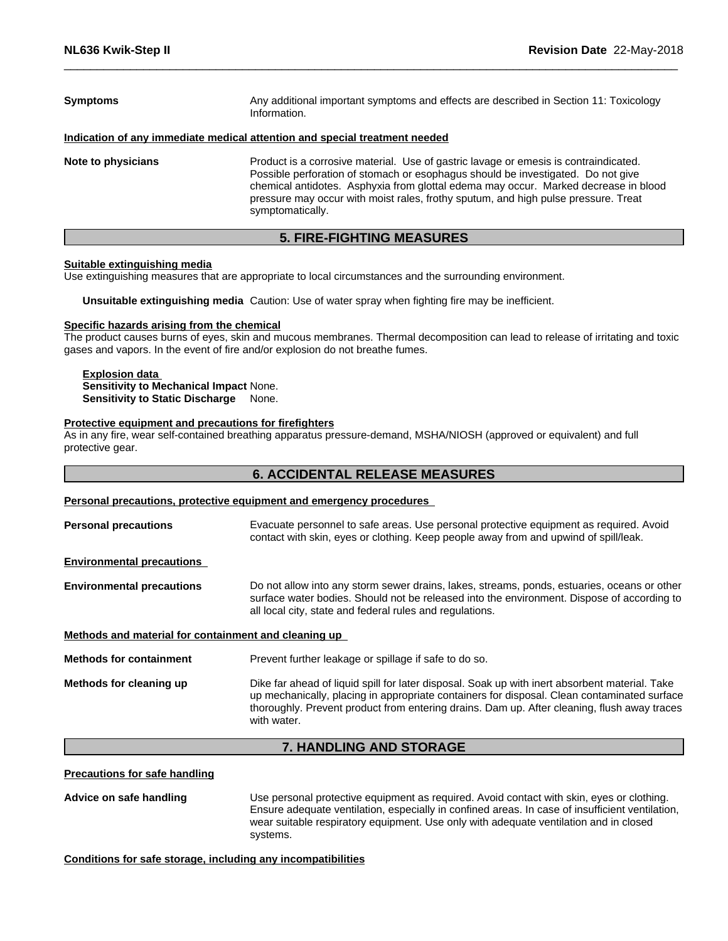| <b>Symptoms</b>    | Any additional important symptoms and effects are described in Section 11: Toxicology<br>Information.                                                                                                                                                                                                                                                                     |  |
|--------------------|---------------------------------------------------------------------------------------------------------------------------------------------------------------------------------------------------------------------------------------------------------------------------------------------------------------------------------------------------------------------------|--|
|                    | Indication of any immediate medical attention and special treatment needed                                                                                                                                                                                                                                                                                                |  |
| Note to physicians | Product is a corrosive material. Use of gastric lavage or emesis is contraindicated.<br>Possible perforation of stomach or esophagus should be investigated. Do not give<br>chemical antidotes. Asphyxia from glottal edema may occur. Marked decrease in blood<br>pressure may occur with moist rales, frothy sputum, and high pulse pressure. Treat<br>symptomatically. |  |

### **5. FIRE-FIGHTING MEASURES**

### **Suitable extinguishing media**

Use extinguishing measures that are appropriate to local circumstances and the surrounding environment.

**Unsuitable extinguishing media** Caution: Use of water spray when fighting fire may be inefficient.

#### **Specific hazards arising from the chemical**

The product causes burns of eyes, skin and mucous membranes. Thermal decomposition can lead to release of irritating and toxic gases and vapors. In the event of fire and/or explosion do not breathe fumes.

## **Explosion data**

**Sensitivity to Mechanical Impact** None. **Sensitivity to Static Discharge** None.

### **Protective equipment and precautions for firefighters**

As in any fire, wear self-contained breathing apparatus pressure-demand, MSHA/NIOSH (approved or equivalent) and full protective gear.

### **6. ACCIDENTAL RELEASE MEASURES**

### **Personal precautions, protective equipment and emergency procedures**

| Evacuate personnel to safe areas. Use personal protective equipment as required. Avoid<br>contact with skin, eyes or clothing. Keep people away from and upwind of spill/leak.                                                                                                                              |
|-------------------------------------------------------------------------------------------------------------------------------------------------------------------------------------------------------------------------------------------------------------------------------------------------------------|
|                                                                                                                                                                                                                                                                                                             |
| Do not allow into any storm sewer drains, lakes, streams, ponds, estuaries, oceans or other<br>surface water bodies. Should not be released into the environment. Dispose of according to<br>all local city, state and federal rules and regulations.                                                       |
| Methods and material for containment and cleaning up                                                                                                                                                                                                                                                        |
| Prevent further leakage or spillage if safe to do so.                                                                                                                                                                                                                                                       |
| Dike far ahead of liquid spill for later disposal. Soak up with inert absorbent material. Take<br>up mechanically, placing in appropriate containers for disposal. Clean contaminated surface<br>thoroughly. Prevent product from entering drains. Dam up. After cleaning, flush away traces<br>with water. |
|                                                                                                                                                                                                                                                                                                             |

### **7. HANDLING AND STORAGE**

**Precautions for safe handling**

**Advice on safe handling** Use personal protective equipment as required.Avoid contact with skin, eyes or clothing. Ensure adequate ventilation, especially in confined areas. In case of insufficient ventilation, wear suitable respiratory equipment. Use only with adequate ventilation and in closed systems.

### **Conditions for safe storage, including any incompatibilities**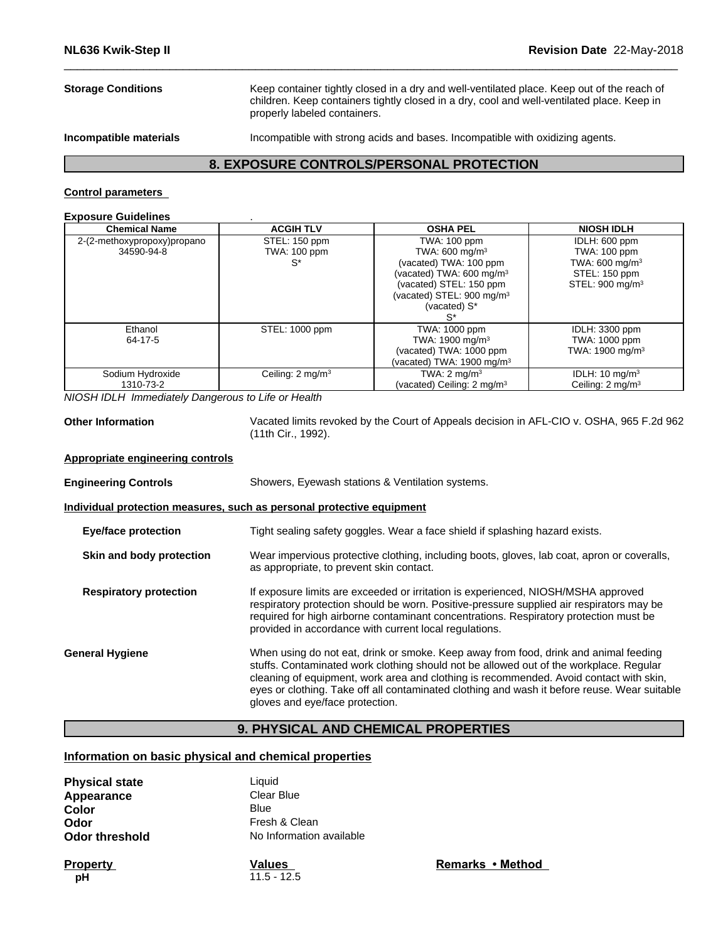**Storage Conditions** Keep container tightly closed in a dry and well-ventilated place. Keep out of the reach of children. Keep containers tightly closed in a dry, cool and well-ventilated place. Keep in properly labeled containers.

**Incompatible materials Incompatible with strong acids and bases. Incompatible with oxidizing agents.** 

### **8. EXPOSURE CONTROLS/PERSONAL PROTECTION**

### **Control parameters**

### **Exposure Guidelines** .

| <b>Chemical Name</b>        | <b>ACGIH TLV</b>             | <b>OSHA PEL</b>                        | <b>NIOSH IDLH</b>            |
|-----------------------------|------------------------------|----------------------------------------|------------------------------|
| 2-(2-methoxypropoxy)propano | STEL: 150 ppm                | TWA: 100 ppm                           | IDLH: 600 ppm                |
| 34590-94-8                  | TWA: 100 ppm                 | TWA: $600 \text{ mg/m}^3$              | <b>TWA: 100 ppm</b>          |
|                             | $S^*$                        | (vacated) TWA: 100 ppm                 | TWA: $600 \text{ mg/m}^3$    |
|                             |                              | (vacated) TWA: 600 mg/m <sup>3</sup>   | STEL: 150 ppm                |
|                             |                              | (vacated) STEL: 150 ppm                | STEL: 900 mg/m <sup>3</sup>  |
|                             |                              | (vacated) STEL: 900 mg/m <sup>3</sup>  |                              |
|                             |                              | (vacated) S*                           |                              |
|                             |                              | s*                                     |                              |
| Ethanol                     | STEL: 1000 ppm               | TWA: 1000 ppm                          | IDLH: 3300 ppm               |
| 64-17-5                     |                              | TWA: $1900 \text{ mg/m}^3$             | TWA: 1000 ppm                |
|                             |                              | (vacated) TWA: 1000 ppm                | TWA: 1900 mg/m <sup>3</sup>  |
|                             |                              | (vacated) TWA: 1900 mg/m <sup>3</sup>  |                              |
| Sodium Hydroxide            | Ceiling: 2 mg/m <sup>3</sup> | TWA: $2 \text{ mg/m}^3$                | IDLH: $10 \text{ mg/m}^3$    |
| 1310-73-2                   |                              | (vacated) Ceiling: 2 mg/m <sup>3</sup> | Ceiling: 2 mg/m <sup>3</sup> |

*NIOSH IDLH Immediately Dangerous to Life or Health*

**Other Information** Vacated limits revoked by the Court of Appeals decision in AFL-CIO v.OSHA, 965 F.2d 962 (11th Cir., 1992).

### **Appropriate engineering controls**

| <b>Engineering Controls</b> | Showers, Eyewash stations & Ventilation systems. |  |
|-----------------------------|--------------------------------------------------|--|
|-----------------------------|--------------------------------------------------|--|

### **Individual protection measures, such as personal protective equipment**

| <b>Eye/face protection</b>    | Tight sealing safety goggles. Wear a face shield if splashing hazard exists.                                                                                                                                                                                                                                                                                                                                |
|-------------------------------|-------------------------------------------------------------------------------------------------------------------------------------------------------------------------------------------------------------------------------------------------------------------------------------------------------------------------------------------------------------------------------------------------------------|
| Skin and body protection      | Wear impervious protective clothing, including boots, gloves, lab coat, apron or coveralls,<br>as appropriate, to prevent skin contact.                                                                                                                                                                                                                                                                     |
| <b>Respiratory protection</b> | If exposure limits are exceeded or irritation is experienced, NIOSH/MSHA approved<br>respiratory protection should be worn. Positive-pressure supplied air respirators may be<br>required for high airborne contaminant concentrations. Respiratory protection must be<br>provided in accordance with current local regulations.                                                                            |
| General Hygiene               | When using do not eat, drink or smoke. Keep away from food, drink and animal feeding<br>stuffs. Contaminated work clothing should not be allowed out of the workplace. Regular<br>cleaning of equipment, work area and clothing is recommended. Avoid contact with skin,<br>eyes or clothing. Take off all contaminated clothing and wash it before reuse. Wear suitable<br>gloves and eye/face protection. |

### **9. PHYSICAL AND CHEMICAL PROPERTIES**

### **Information on basic physical and chemical properties**

| <b>Physical state</b><br>Appearance | Liauid<br>Clear Blue     |
|-------------------------------------|--------------------------|
| Color                               | Blue                     |
| Odor                                | Fresh & Clean            |
| <b>Odor threshold</b>               | No Information available |

**pH** 11.5 - 12.5

**Property Remarks Property Remarks Method**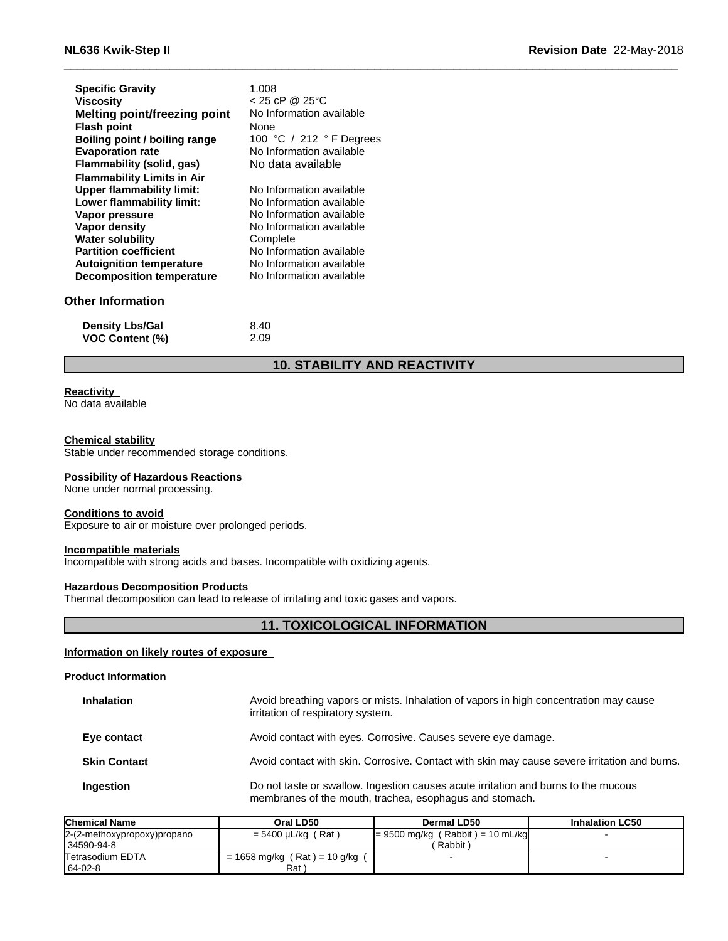| NL636 Kwik-Step II                |                          | <b>Revision Date 22-May-2018</b> |
|-----------------------------------|--------------------------|----------------------------------|
| <b>Specific Gravity</b>           | 1.008                    |                                  |
| <b>Viscosity</b>                  | $< 25$ cP @ 25 °C        |                                  |
| Melting point/freezing point      | No Information available |                                  |
| <b>Flash point</b>                | None                     |                                  |
| Boiling point / boiling range     | 100 °C / 212 ° F Degrees |                                  |
| <b>Evaporation rate</b>           | No Information available |                                  |
| Flammability (solid, gas)         | No data available        |                                  |
| <b>Flammability Limits in Air</b> |                          |                                  |
| <b>Upper flammability limit:</b>  | No Information available |                                  |
| Lower flammability limit:         | No Information available |                                  |
| Vapor pressure                    | No Information available |                                  |
| Vapor density                     | No Information available |                                  |
| <b>Water solubility</b>           | Complete                 |                                  |
|                                   |                          |                                  |

### **Other Information**

| <b>Density Lbs/Gal</b> | 8.40 |
|------------------------|------|
| <b>VOC Content (%)</b> | 2.09 |

**Partition coefficient** No Information available **Autoignition temperature** No Information available **Decomposition temperature** No Information available

### **10. STABILITY AND REACTIVITY**

## **Reactivity**

No data available

### **Chemical stability**

Stable under recommended storage conditions.

### **Possibility of Hazardous Reactions**

None under normal processing.

#### **Conditions to avoid**

Exposure to air or moisture over prolonged periods.

### **Incompatible materials**

Incompatible with strong acids and bases. Incompatible with oxidizing agents.

### **Hazardous Decomposition Products**

Thermal decomposition can lead to release of irritating and toxic gases and vapors.

### **11. TOXICOLOGICAL INFORMATION**

### **Information on likely routes of exposure**

#### **Product Information**

| <b>Inhalation</b>   | Avoid breathing vapors or mists. Inhalation of vapors in high concentration may cause<br>irritation of respiratory system.                    |
|---------------------|-----------------------------------------------------------------------------------------------------------------------------------------------|
| Eye contact         | Avoid contact with eyes. Corrosive. Causes severe eye damage.                                                                                 |
| <b>Skin Contact</b> | Avoid contact with skin. Corrosive. Contact with skin may cause severe irritation and burns.                                                  |
| Ingestion           | Do not taste or swallow. Ingestion causes acute irritation and burns to the mucous<br>membranes of the mouth, trachea, esophagus and stomach. |

| <b>Chemical Name</b>        | Oral LD50                      | Dermal LD50                        | <b>Inhalation LC50</b> |
|-----------------------------|--------------------------------|------------------------------------|------------------------|
| 2-(2-methoxypropoxy)propano | $= 5400 \mu L/kg$ (Rat)        | $= 9500$ mg/kg (Rabbit) = 10 mL/kg |                        |
| 34590-94-8                  |                                | Rabbit)                            |                        |
| <b>Tetrasodium EDTA</b>     | $= 1658$ mg/kg (Rat) = 10 g/kg |                                    |                        |
| $164-02-8$                  | Rat \                          |                                    |                        |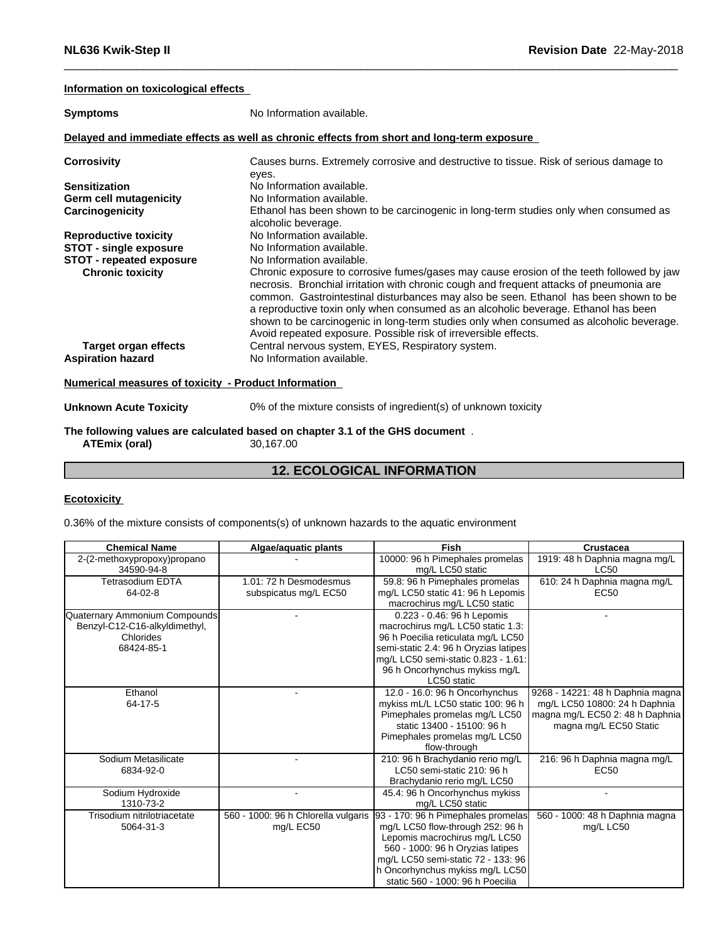### **Information on toxicological effects**

| <b>Symptoms</b>                                                                           | No Information available.                                                                                                                                                                                                                                                                                                                                                                                                                                                                                                                                                                                         |
|-------------------------------------------------------------------------------------------|-------------------------------------------------------------------------------------------------------------------------------------------------------------------------------------------------------------------------------------------------------------------------------------------------------------------------------------------------------------------------------------------------------------------------------------------------------------------------------------------------------------------------------------------------------------------------------------------------------------------|
|                                                                                           | Delayed and immediate effects as well as chronic effects from short and long-term exposure                                                                                                                                                                                                                                                                                                                                                                                                                                                                                                                        |
| <b>Corrosivity</b>                                                                        | Causes burns. Extremely corrosive and destructive to tissue. Risk of serious damage to<br>eyes.                                                                                                                                                                                                                                                                                                                                                                                                                                                                                                                   |
| <b>Sensitization</b>                                                                      | No Information available.                                                                                                                                                                                                                                                                                                                                                                                                                                                                                                                                                                                         |
| Germ cell mutagenicity                                                                    | No Information available.                                                                                                                                                                                                                                                                                                                                                                                                                                                                                                                                                                                         |
| Carcinogenicity                                                                           | Ethanol has been shown to be carcinogenic in long-term studies only when consumed as<br>alcoholic beverage.                                                                                                                                                                                                                                                                                                                                                                                                                                                                                                       |
| <b>Reproductive toxicity</b>                                                              | No Information available.                                                                                                                                                                                                                                                                                                                                                                                                                                                                                                                                                                                         |
| <b>STOT - single exposure</b>                                                             | No Information available.                                                                                                                                                                                                                                                                                                                                                                                                                                                                                                                                                                                         |
| <b>STOT - repeated exposure</b><br><b>Chronic toxicity</b><br><b>Target organ effects</b> | No Information available.<br>Chronic exposure to corrosive fumes/gases may cause erosion of the teeth followed by jaw<br>necrosis. Bronchial irritation with chronic cough and frequent attacks of pneumonia are<br>common. Gastrointestinal disturbances may also be seen. Ethanol has been shown to be<br>a reproductive toxin only when consumed as an alcoholic beverage. Ethanol has been<br>shown to be carcinogenic in long-term studies only when consumed as alcoholic beverage.<br>Avoid repeated exposure. Possible risk of irreversible effects.<br>Central nervous system, EYES, Respiratory system. |
| <b>Aspiration hazard</b>                                                                  | No Information available.                                                                                                                                                                                                                                                                                                                                                                                                                                                                                                                                                                                         |
| <b>Numerical measures of toxicity - Product Information</b>                               |                                                                                                                                                                                                                                                                                                                                                                                                                                                                                                                                                                                                                   |
| <b>Unknown Acute Toxicity</b>                                                             | 0% of the mixture consists of ingredient(s) of unknown toxicity                                                                                                                                                                                                                                                                                                                                                                                                                                                                                                                                                   |
| ATEmix (oral)                                                                             | The following values are calculated based on chapter 3.1 of the GHS document.<br>30,167.00                                                                                                                                                                                                                                                                                                                                                                                                                                                                                                                        |

### **12. ECOLOGICAL INFORMATION**

### **Ecotoxicity**

0.36% of the mixture consists of components(s) of unknown hazards to the aquatic environment

| <b>Chemical Name</b>          | Algae/aquatic plants                | Fish                                  | Crustacea                        |
|-------------------------------|-------------------------------------|---------------------------------------|----------------------------------|
| 2-(2-methoxypropoxy)propano   |                                     | 10000: 96 h Pimephales promelas       | 1919: 48 h Daphnia magna mg/L    |
| 34590-94-8                    |                                     | mg/L LC50 static                      | <b>LC50</b>                      |
| <b>Tetrasodium EDTA</b>       | 1.01: 72 h Desmodesmus              | 59.8: 96 h Pimephales promelas        | 610: 24 h Daphnia magna mg/L     |
| $64-02-8$                     | subspicatus mg/L EC50               | mg/L LC50 static 41: 96 h Lepomis     | <b>EC50</b>                      |
|                               |                                     | macrochirus mg/L LC50 static          |                                  |
| Quaternary Ammonium Compounds |                                     | 0.223 - 0.46: 96 h Lepomis            |                                  |
| Benzyl-C12-C16-alkyldimethyl, |                                     | macrochirus mg/L LC50 static 1.3:     |                                  |
| Chlorides                     |                                     | 96 h Poecilia reticulata mg/L LC50    |                                  |
| 68424-85-1                    |                                     | semi-static 2.4: 96 h Oryzias latipes |                                  |
|                               |                                     | mg/L LC50 semi-static 0.823 - 1.61:   |                                  |
|                               |                                     | 96 h Oncorhynchus mykiss mg/L         |                                  |
|                               |                                     | LC50 static                           |                                  |
| Ethanol                       |                                     | 12.0 - 16.0: 96 h Oncorhynchus        | 9268 - 14221: 48 h Daphnia magna |
| 64-17-5                       |                                     | mykiss mL/L LC50 static 100: 96 h     | mg/L LC50 10800: 24 h Daphnia    |
|                               |                                     | Pimephales promelas mg/L LC50         | magna mg/L EC50 2: 48 h Daphnia  |
|                               |                                     | static 13400 - 15100: 96 h            | magna mg/L EC50 Static           |
|                               |                                     | Pimephales promelas mg/L LC50         |                                  |
|                               |                                     | flow-through                          |                                  |
| Sodium Metasilicate           |                                     | 210: 96 h Brachydanio rerio mg/L      | 216: 96 h Daphnia magna mg/L     |
| 6834-92-0                     |                                     | LC50 semi-static 210: 96 h            | EC <sub>50</sub>                 |
|                               |                                     | Brachydanio rerio mg/L LC50           |                                  |
| Sodium Hydroxide              |                                     | 45.4: 96 h Oncorhynchus mykiss        |                                  |
| 1310-73-2                     |                                     | mg/L LC50 static                      |                                  |
| Trisodium nitrilotriacetate   | 560 - 1000: 96 h Chlorella vulgaris | 93 - 170: 96 h Pimephales promelas    | 560 - 1000: 48 h Daphnia magna   |
| 5064-31-3                     | mg/L EC50                           | mg/L LC50 flow-through 252: 96 h      | mg/L LC50                        |
|                               |                                     | Lepomis macrochirus mg/L LC50         |                                  |
|                               |                                     | 560 - 1000: 96 h Oryzias latipes      |                                  |
|                               |                                     | mg/L LC50 semi-static 72 - 133: 96    |                                  |
|                               |                                     | h Oncorhynchus mykiss mg/L LC50       |                                  |
|                               |                                     | static 560 - 1000: 96 h Poecilia      |                                  |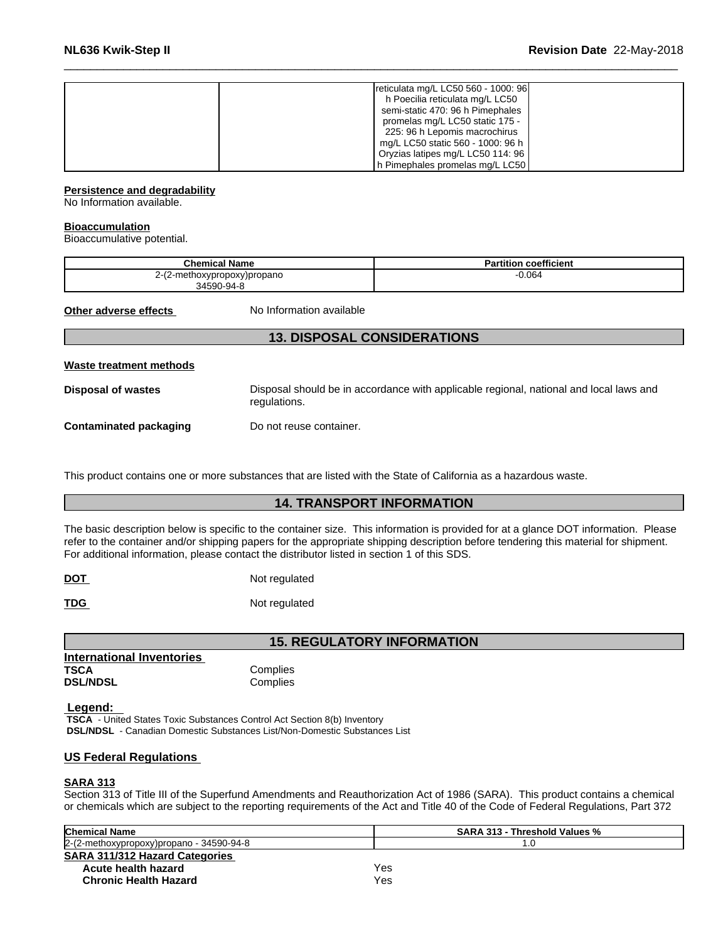| reticulata mg/L LC50 560 - 1000: 96 |
|-------------------------------------|
| h Poecilia reticulata mg/L LC50     |
| semi-static 470: 96 h Pimephales    |
| promelas mg/L LC50 static 175 -     |
| 225: 96 h Lepomis macrochirus       |
| mg/L LC50 static 560 - 1000: 96 h   |
| Oryzias latipes mg/L LC50 114: 96   |
| h Pimephales promelas mg/L LC50     |

### **Persistence and degradability**

No Information available.

### **Bioaccumulation**

Bioaccumulative potential.

| <b>Chemical Name</b>        | <b>Partition coefficient</b> |
|-----------------------------|------------------------------|
| 2-(2-methoxypropoxy)propano | 0.064                        |
| 34590-94-8                  |                              |

**Other adverse effects** No Information available

### **13. DISPOSAL CONSIDERATIONS**

### **Waste treatment methods**

**Disposal of wastes** Disposal should be in accordance with applicable regional, national and local laws and regulations.

**Contaminated packaging Do not reuse container.** 

This product contains one or more substances that are listed with the State of California as a hazardous waste.

### **14. TRANSPORT INFORMATION**

The basic description below is specific to the container size. This information is provided for at a glance DOT information. Please refer to the container and/or shipping papers for the appropriate shipping description before tendering this material for shipment. For additional information, please contact the distributor listed in section 1 of this SDS.

**DOT** Not regulated

**TDG** Not regulated

### **15. REGULATORY INFORMATION**

| <b>International Inventories</b> |          |  |
|----------------------------------|----------|--|
| TSCA                             | Complies |  |
| <b>DSL/NDSL</b>                  | Complies |  |
|                                  |          |  |

### **Legend:**

 **TSCA** - United States Toxic Substances Control Act Section 8(b) Inventory  **DSL/NDSL** - Canadian Domestic Substances List/Non-Domestic Substances List

### **US Federal Regulations**

### **SARA 313**

Section 313 of Title III of the Superfund Amendments and Reauthorization Act of 1986 (SARA). This product contains a chemical or chemicals which are subject to the reporting requirements of the Act and Title 40 of the Code of Federal Regulations, Part 372

| <b>Chemical Name</b>                        | <b>SARA 313 - Threshold Values %</b> |  |
|---------------------------------------------|--------------------------------------|--|
| $2-(2$ -methoxypropoxy)propano - 34590-94-8 | 7.U                                  |  |
| <b>SARA 311/312 Hazard Categories</b>       |                                      |  |
| Acute health hazard                         | Yes                                  |  |
| <b>Chronic Health Hazard</b>                | Yes                                  |  |